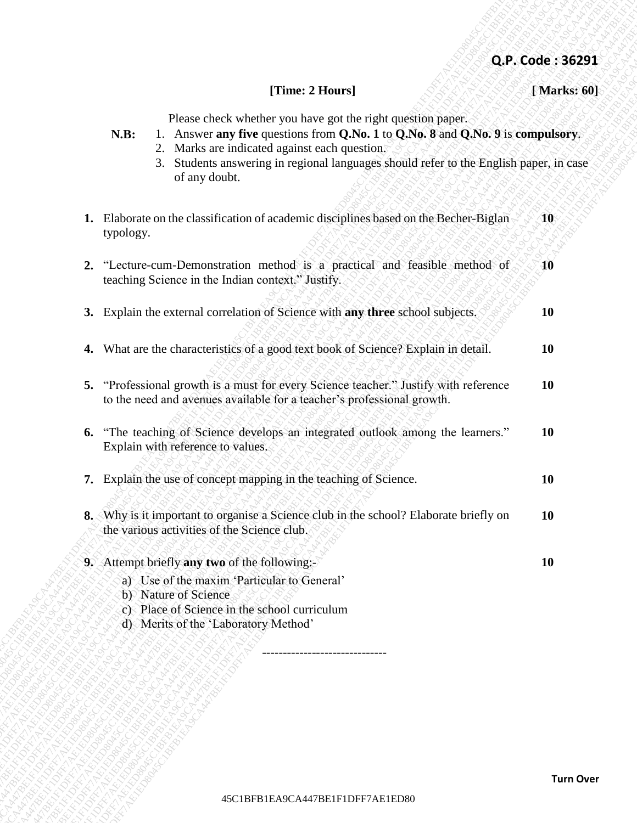## **Q.P. Code : 36291**

## **[Time: 2 Hours] [ Marks: 60]**

- **N.B:** 1. Answer **any five** questions from **Q.No. 1** to **Q.No. 8** and **Q.No. 9** is **compulsory**.
	- 2. Marks are indicated against each question.
	- 3. Students answering in regional languages should refer to the English paper, in case of any doubt.

| [Time: 2 Hours]<br>Please check whether you have got the right question paper.<br>1. Answer any five questions from Q.No. 1 to Q.No. 8 and Q.No. 9 is compulsory.<br>N.B:<br>2. Marks are indicated against each question.<br>Students answering in regional languages should refer to the English paper, in case<br>3.<br>of any doubt.<br>1. Elaborate on the classification of academic disciplines based on the Becher-Biglan<br><b>10</b><br>typology.<br>2. "Lecture-cum-Demonstration method is a practical and feasible method of<br>$\bf 10$<br>teaching Science in the Indian context." Justify.<br>3. Explain the external correlation of Science with any three school subjects.<br><b>10</b><br>4. What are the characteristics of a good text book of Science? Explain in detail.<br><b>10</b><br>5. "Professional growth is a must for every Science teacher." Justify with reference<br><b>10</b><br>to the need and avenues available for a teacher's professional growth.<br>"The teaching of Science develops an integrated outlook among the learners."<br><b>10</b><br>6.<br>Explain with reference to values.<br>7. Explain the use of concept mapping in the teaching of Science.<br><b>10</b><br>8. Why is it important to organise a Science club in the school? Elaborate briefly on<br><b>10</b><br>the various activities of the Science club.<br>9. Attempt briefly any two of the following:-<br><b>10</b><br>a) Use of the maxim 'Particular to General'<br>b) Nature of Science<br>c) Place of Science in the school curriculum<br>d) Merits of the 'Laboratory Method'<br>---------------------------- | Q.P. Code: 36291 |  |  |
|-----------------------------------------------------------------------------------------------------------------------------------------------------------------------------------------------------------------------------------------------------------------------------------------------------------------------------------------------------------------------------------------------------------------------------------------------------------------------------------------------------------------------------------------------------------------------------------------------------------------------------------------------------------------------------------------------------------------------------------------------------------------------------------------------------------------------------------------------------------------------------------------------------------------------------------------------------------------------------------------------------------------------------------------------------------------------------------------------------------------------------------------------------------------------------------------------------------------------------------------------------------------------------------------------------------------------------------------------------------------------------------------------------------------------------------------------------------------------------------------------------------------------------------------------------------------------------------------------------------------------------------------|------------------|--|--|
|                                                                                                                                                                                                                                                                                                                                                                                                                                                                                                                                                                                                                                                                                                                                                                                                                                                                                                                                                                                                                                                                                                                                                                                                                                                                                                                                                                                                                                                                                                                                                                                                                                         | [Marks: 60]      |  |  |
|                                                                                                                                                                                                                                                                                                                                                                                                                                                                                                                                                                                                                                                                                                                                                                                                                                                                                                                                                                                                                                                                                                                                                                                                                                                                                                                                                                                                                                                                                                                                                                                                                                         |                  |  |  |
|                                                                                                                                                                                                                                                                                                                                                                                                                                                                                                                                                                                                                                                                                                                                                                                                                                                                                                                                                                                                                                                                                                                                                                                                                                                                                                                                                                                                                                                                                                                                                                                                                                         |                  |  |  |
|                                                                                                                                                                                                                                                                                                                                                                                                                                                                                                                                                                                                                                                                                                                                                                                                                                                                                                                                                                                                                                                                                                                                                                                                                                                                                                                                                                                                                                                                                                                                                                                                                                         |                  |  |  |
|                                                                                                                                                                                                                                                                                                                                                                                                                                                                                                                                                                                                                                                                                                                                                                                                                                                                                                                                                                                                                                                                                                                                                                                                                                                                                                                                                                                                                                                                                                                                                                                                                                         |                  |  |  |
|                                                                                                                                                                                                                                                                                                                                                                                                                                                                                                                                                                                                                                                                                                                                                                                                                                                                                                                                                                                                                                                                                                                                                                                                                                                                                                                                                                                                                                                                                                                                                                                                                                         |                  |  |  |
|                                                                                                                                                                                                                                                                                                                                                                                                                                                                                                                                                                                                                                                                                                                                                                                                                                                                                                                                                                                                                                                                                                                                                                                                                                                                                                                                                                                                                                                                                                                                                                                                                                         |                  |  |  |
|                                                                                                                                                                                                                                                                                                                                                                                                                                                                                                                                                                                                                                                                                                                                                                                                                                                                                                                                                                                                                                                                                                                                                                                                                                                                                                                                                                                                                                                                                                                                                                                                                                         |                  |  |  |
|                                                                                                                                                                                                                                                                                                                                                                                                                                                                                                                                                                                                                                                                                                                                                                                                                                                                                                                                                                                                                                                                                                                                                                                                                                                                                                                                                                                                                                                                                                                                                                                                                                         |                  |  |  |
|                                                                                                                                                                                                                                                                                                                                                                                                                                                                                                                                                                                                                                                                                                                                                                                                                                                                                                                                                                                                                                                                                                                                                                                                                                                                                                                                                                                                                                                                                                                                                                                                                                         |                  |  |  |
|                                                                                                                                                                                                                                                                                                                                                                                                                                                                                                                                                                                                                                                                                                                                                                                                                                                                                                                                                                                                                                                                                                                                                                                                                                                                                                                                                                                                                                                                                                                                                                                                                                         |                  |  |  |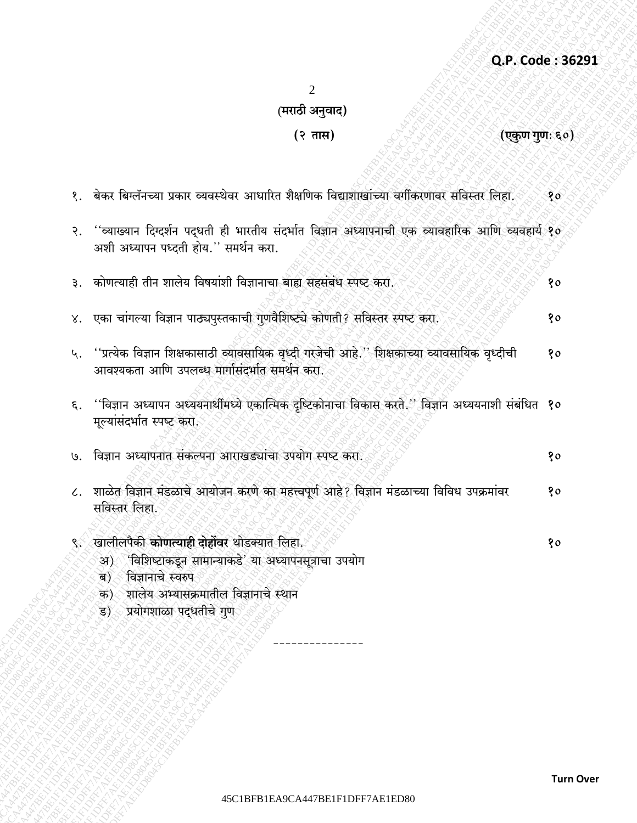Q.P. Code: 36291

 $\overline{2}$ 

## (मराठी अनुवाद)

## (२ तास)

(एकुण गुणः ६०)

|       | १.  बेकर बिग्लॅनच्या प्रकार व्यवस्थेवर आधारित शैक्षणिक विद्याशाखांच्या वर्गीकरणावर सविस्तर लिहा.                                                                                                                             | 80 |
|-------|------------------------------------------------------------------------------------------------------------------------------------------------------------------------------------------------------------------------------|----|
| २.    | ''व्याख्यान दिग्दर्शन पद्धती ही भारतीय संदर्भात विज्ञान अध्यापनाची एक व्यावहारिक आणि व्यवहार्य १०<br>अशी अध्यापन पध्दती होय." समर्थन करा.                                                                                    |    |
| 3.    | कोणत्याही तीन शालेय विषयांशी विज्ञानाचा बाह्य सहसंबंध स्पष्ट करा.                                                                                                                                                            | १० |
| $X^*$ | ्एका चांगल्या विज्ञान पाठ्यपुस्तकाची गुणवैशिष्ट्ये कोणती? सविस्तर स्पष्ट करा.                                                                                                                                                | १० |
| ५.    | ''प्रत्येक विज्ञान शिक्षकासाठी व्यावसायिक वृध्दी गरजेची आहे.'' शिक्षकाच्या व्यावसायिक वृध्दीची<br>आवश्यकता आणि उपलब्ध मार्गासंदर्भात समर्थन करा.                                                                             | १० |
| ξ.    | ''विज्ञान अध्यापन अध्ययनार्थीमध्ये एकात्मिक दृष्टिकोनाचा विकास करते.'' विज्ञान अध्ययनाशी संबंधित <b>१०</b><br>मूल्यांसंदर्भात स्पष्ट करा.                                                                                    |    |
| U.    | विज्ञान अध्यापनात संकल्पना आराखड्यांचा उपयोग स्पष्ट करा.                                                                                                                                                                     | १० |
|       | ८. शाळेत विज्ञान मंडळाचे आयोजन करणे का महत्त्वपूर्ण आहे? विज्ञान मंडळाच्या विविध उपक्रमांवर<br>सविस्तर लिहा.                                                                                                                 | १० |
| ઙ્∕   | ्खालीलपैकी <b>कोणत्याही दोहोंवर</b> थोडक्यात लिहा.<br>्'विशिष्टाकडून सामान्याकडे' या अध्यापनसूत्राचा उपयोग<br>अ)<br>विज्ञानाचे स्वरुप<br>ब)<br>शालेय अभ्यासक्रमातील विज्ञानाचे स्थान<br>क)<br>प्रयोगशाळा पद्धतीचे गुण<br>ड). | 90 |